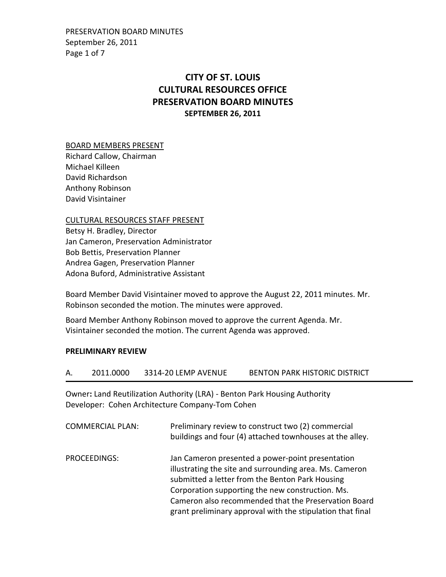PRESERVATION BOARD MINUTES September 26, 2011 Page 1 of 7

# CITY OF ST. LOUIS CULTURAL RESOURCES OFFICE PRESERVATION BOARD MINUTES SEPTEMBER 26, 2011

#### BOARD MEMBERS PRESENT

Richard Callow, Chairman Michael Killeen David Richardson Anthony Robinson David Visintainer

### CULTURAL RESOURCES STAFF PRESENT

Betsy H. Bradley, Director Jan Cameron, Preservation Administrator Bob Bettis, Preservation Planner Andrea Gagen, Preservation Planner Adona Buford, Administrative Assistant

Board Member David Visintainer moved to approve the August 22, 2011 minutes. Mr. Robinson seconded the motion. The minutes were approved.

Board Member Anthony Robinson moved to approve the current Agenda. Mr. Visintainer seconded the motion. The current Agenda was approved.

#### PRELIMINARY REVIEW

| 2011.0000 | 3314-20 LEMP AVENUE | BENTON PARK HISTORIC DISTRICT |
|-----------|---------------------|-------------------------------|
|           |                     |                               |

Owner: Land Reutilization Authority (LRA) - Benton Park Housing Authority Developer: Cohen Architecture Company-Tom Cohen

| <b>COMMERCIAL PLAN:</b> | Preliminary review to construct two (2) commercial<br>buildings and four (4) attached townhouses at the alley.                                                                                                                                                                                                                           |
|-------------------------|------------------------------------------------------------------------------------------------------------------------------------------------------------------------------------------------------------------------------------------------------------------------------------------------------------------------------------------|
| PROCEEDINGS:            | Jan Cameron presented a power-point presentation<br>illustrating the site and surrounding area. Ms. Cameron<br>submitted a letter from the Benton Park Housing<br>Corporation supporting the new construction. Ms.<br>Cameron also recommended that the Preservation Board<br>grant preliminary approval with the stipulation that final |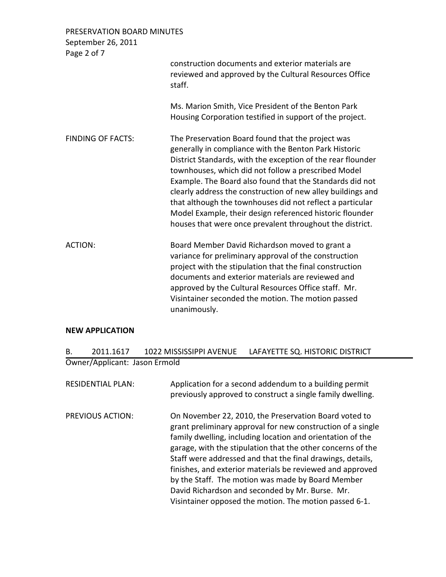| PRESERVATION BOARD MINUTES<br>September 26, 2011<br>Page 2 of 7 |                                                                                                                                                                                                                                                                                                                                                                                                                                                                                                                                                  |
|-----------------------------------------------------------------|--------------------------------------------------------------------------------------------------------------------------------------------------------------------------------------------------------------------------------------------------------------------------------------------------------------------------------------------------------------------------------------------------------------------------------------------------------------------------------------------------------------------------------------------------|
|                                                                 | construction documents and exterior materials are<br>reviewed and approved by the Cultural Resources Office<br>staff.                                                                                                                                                                                                                                                                                                                                                                                                                            |
|                                                                 | Ms. Marion Smith, Vice President of the Benton Park<br>Housing Corporation testified in support of the project.                                                                                                                                                                                                                                                                                                                                                                                                                                  |
| <b>FINDING OF FACTS:</b>                                        | The Preservation Board found that the project was<br>generally in compliance with the Benton Park Historic<br>District Standards, with the exception of the rear flounder<br>townhouses, which did not follow a prescribed Model<br>Example. The Board also found that the Standards did not<br>clearly address the construction of new alley buildings and<br>that although the townhouses did not reflect a particular<br>Model Example, their design referenced historic flounder<br>houses that were once prevalent throughout the district. |
| <b>ACTION:</b>                                                  | Board Member David Richardson moved to grant a<br>variance for preliminary approval of the construction<br>project with the stipulation that the final construction<br>documents and exterior materials are reviewed and<br>approved by the Cultural Resources Office staff. Mr.<br>Visintainer seconded the motion. The motion passed<br>unanimously.                                                                                                                                                                                           |

### NEW APPLICATION

| 2011.1617                     | 1022 MISSISSIPPI AVENUE | LAFAYETTE SQ. HISTORIC DISTRICT |
|-------------------------------|-------------------------|---------------------------------|
| Owner/Applicant: Jason Ermold |                         |                                 |

| <b>RESIDENTIAL PLAN:</b> | Application for a second addendum to a building permit<br>previously approved to construct a single family dwelling.                                                                                                                                                                                                                                                                                                                                                                                                                           |
|--------------------------|------------------------------------------------------------------------------------------------------------------------------------------------------------------------------------------------------------------------------------------------------------------------------------------------------------------------------------------------------------------------------------------------------------------------------------------------------------------------------------------------------------------------------------------------|
| <b>PREVIOUS ACTION:</b>  | On November 22, 2010, the Preservation Board voted to<br>grant preliminary approval for new construction of a single<br>family dwelling, including location and orientation of the<br>garage, with the stipulation that the other concerns of the<br>Staff were addressed and that the final drawings, details,<br>finishes, and exterior materials be reviewed and approved<br>by the Staff. The motion was made by Board Member<br>David Richardson and seconded by Mr. Burse. Mr.<br>Visintainer opposed the motion. The motion passed 6-1. |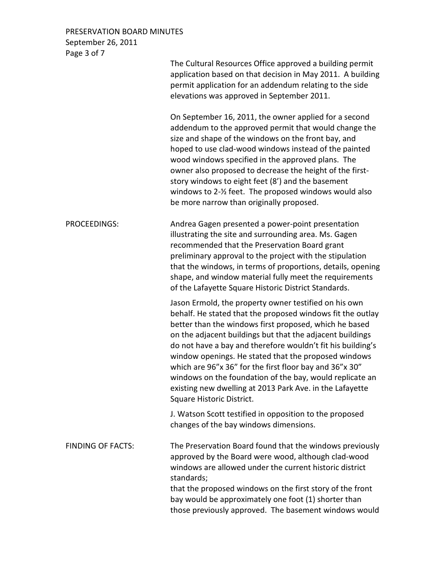### PRESERVATION BOARD MINUTES September 26, 2011 Page 3 of 7

|                          | The Cultural Resources Office approved a building permit<br>application based on that decision in May 2011. A building<br>permit application for an addendum relating to the side<br>elevations was approved in September 2011.                                                                                                                                                                                                                                                                                                                                                   |
|--------------------------|-----------------------------------------------------------------------------------------------------------------------------------------------------------------------------------------------------------------------------------------------------------------------------------------------------------------------------------------------------------------------------------------------------------------------------------------------------------------------------------------------------------------------------------------------------------------------------------|
|                          | On September 16, 2011, the owner applied for a second<br>addendum to the approved permit that would change the<br>size and shape of the windows on the front bay, and<br>hoped to use clad-wood windows instead of the painted<br>wood windows specified in the approved plans. The<br>owner also proposed to decrease the height of the first-<br>story windows to eight feet (8') and the basement<br>windows to 2-1/2 feet. The proposed windows would also<br>be more narrow than originally proposed.                                                                        |
| PROCEEDINGS:             | Andrea Gagen presented a power-point presentation<br>illustrating the site and surrounding area. Ms. Gagen<br>recommended that the Preservation Board grant<br>preliminary approval to the project with the stipulation<br>that the windows, in terms of proportions, details, opening<br>shape, and window material fully meet the requirements<br>of the Lafayette Square Historic District Standards.                                                                                                                                                                          |
|                          | Jason Ermold, the property owner testified on his own<br>behalf. He stated that the proposed windows fit the outlay<br>better than the windows first proposed, which he based<br>on the adjacent buildings but that the adjacent buildings<br>do not have a bay and therefore wouldn't fit his building's<br>window openings. He stated that the proposed windows<br>which are 96"x 36" for the first floor bay and 36"x 30"<br>windows on the foundation of the bay, would replicate an<br>existing new dwelling at 2013 Park Ave. in the Lafayette<br>Square Historic District. |
|                          | J. Watson Scott testified in opposition to the proposed<br>changes of the bay windows dimensions.                                                                                                                                                                                                                                                                                                                                                                                                                                                                                 |
| <b>FINDING OF FACTS:</b> | The Preservation Board found that the windows previously<br>approved by the Board were wood, although clad-wood<br>windows are allowed under the current historic district<br>standards;<br>that the proposed windows on the first story of the front<br>bay would be approximately one foot (1) shorter than<br>those previously approved. The basement windows would                                                                                                                                                                                                            |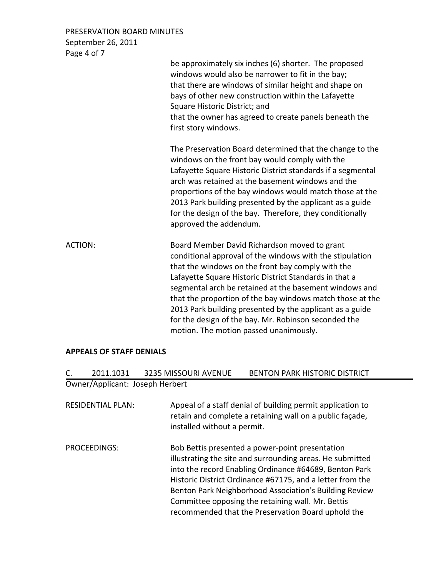PRESERVATION BOARD MINUTES September 26, 2011 Page 4 of 7

|         | be approximately six inches (6) shorter. The proposed<br>windows would also be narrower to fit in the bay;<br>that there are windows of similar height and shape on<br>bays of other new construction within the Lafayette<br>Square Historic District; and<br>that the owner has agreed to create panels beneath the<br>first story windows.                                                                                                                                                                |
|---------|--------------------------------------------------------------------------------------------------------------------------------------------------------------------------------------------------------------------------------------------------------------------------------------------------------------------------------------------------------------------------------------------------------------------------------------------------------------------------------------------------------------|
|         | The Preservation Board determined that the change to the<br>windows on the front bay would comply with the<br>Lafayette Square Historic District standards if a segmental<br>arch was retained at the basement windows and the<br>proportions of the bay windows would match those at the<br>2013 Park building presented by the applicant as a guide<br>for the design of the bay. Therefore, they conditionally<br>approved the addendum.                                                                  |
| ACTION: | Board Member David Richardson moved to grant<br>conditional approval of the windows with the stipulation<br>that the windows on the front bay comply with the<br>Lafayette Square Historic District Standards in that a<br>segmental arch be retained at the basement windows and<br>that the proportion of the bay windows match those at the<br>2013 Park building presented by the applicant as a guide<br>for the design of the bay. Mr. Robinson seconded the<br>motion. The motion passed unanimously. |

# APPEALS OF STAFF DENIALS

| C. | 2011.1031                       | <b>3235 MISSOURI AVENUE</b> | <b>BENTON PARK HISTORIC DISTRICT</b>                                                                                                                                                                                                                                                                                                                                                                     |
|----|---------------------------------|-----------------------------|----------------------------------------------------------------------------------------------------------------------------------------------------------------------------------------------------------------------------------------------------------------------------------------------------------------------------------------------------------------------------------------------------------|
|    | Owner/Applicant: Joseph Herbert |                             |                                                                                                                                                                                                                                                                                                                                                                                                          |
|    | <b>RESIDENTIAL PLAN:</b>        | installed without a permit. | Appeal of a staff denial of building permit application to<br>retain and complete a retaining wall on a public façade,                                                                                                                                                                                                                                                                                   |
|    | PROCEEDINGS:                    |                             | Bob Bettis presented a power-point presentation<br>illustrating the site and surrounding areas. He submitted<br>into the record Enabling Ordinance #64689, Benton Park<br>Historic District Ordinance #67175, and a letter from the<br>Benton Park Neighborhood Association's Building Review<br>Committee opposing the retaining wall. Mr. Bettis<br>recommended that the Preservation Board uphold the |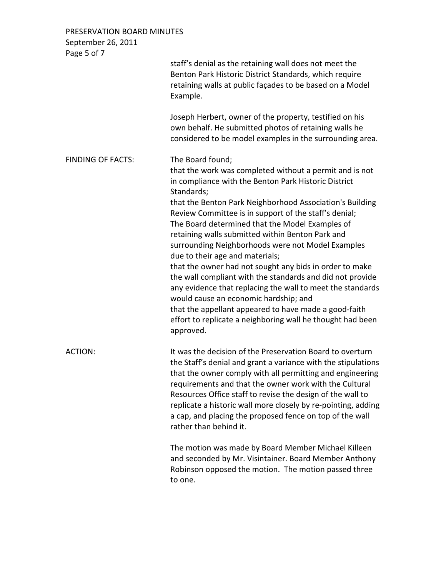PRESERVATION BOARD MINUTES September 26, 2011

| September zo, zull<br>Page 5 of 7 |                                                                                                                                                                                                                                                                                                                                                                                                                                                                                                                                                                                                                                                                                                                                                                                                                                          |
|-----------------------------------|------------------------------------------------------------------------------------------------------------------------------------------------------------------------------------------------------------------------------------------------------------------------------------------------------------------------------------------------------------------------------------------------------------------------------------------------------------------------------------------------------------------------------------------------------------------------------------------------------------------------------------------------------------------------------------------------------------------------------------------------------------------------------------------------------------------------------------------|
|                                   | staff's denial as the retaining wall does not meet the<br>Benton Park Historic District Standards, which require<br>retaining walls at public façades to be based on a Model<br>Example.                                                                                                                                                                                                                                                                                                                                                                                                                                                                                                                                                                                                                                                 |
|                                   | Joseph Herbert, owner of the property, testified on his<br>own behalf. He submitted photos of retaining walls he<br>considered to be model examples in the surrounding area.                                                                                                                                                                                                                                                                                                                                                                                                                                                                                                                                                                                                                                                             |
| <b>FINDING OF FACTS:</b>          | The Board found;<br>that the work was completed without a permit and is not<br>in compliance with the Benton Park Historic District<br>Standards;<br>that the Benton Park Neighborhood Association's Building<br>Review Committee is in support of the staff's denial;<br>The Board determined that the Model Examples of<br>retaining walls submitted within Benton Park and<br>surrounding Neighborhoods were not Model Examples<br>due to their age and materials;<br>that the owner had not sought any bids in order to make<br>the wall compliant with the standards and did not provide<br>any evidence that replacing the wall to meet the standards<br>would cause an economic hardship; and<br>that the appellant appeared to have made a good-faith<br>effort to replicate a neighboring wall he thought had been<br>approved. |
| <b>ACTION:</b>                    | It was the decision of the Preservation Board to overturn<br>the Staff's denial and grant a variance with the stipulations<br>that the owner comply with all permitting and engineering<br>requirements and that the owner work with the Cultural<br>Resources Office staff to revise the design of the wall to<br>replicate a historic wall more closely by re-pointing, adding<br>a cap, and placing the proposed fence on top of the wall<br>rather than behind it.                                                                                                                                                                                                                                                                                                                                                                   |
|                                   | The motion was made by Board Member Michael Killeen<br>and seconded by Mr. Visintainer. Board Member Anthony<br>Robinson opposed the motion. The motion passed three<br>to one.                                                                                                                                                                                                                                                                                                                                                                                                                                                                                                                                                                                                                                                          |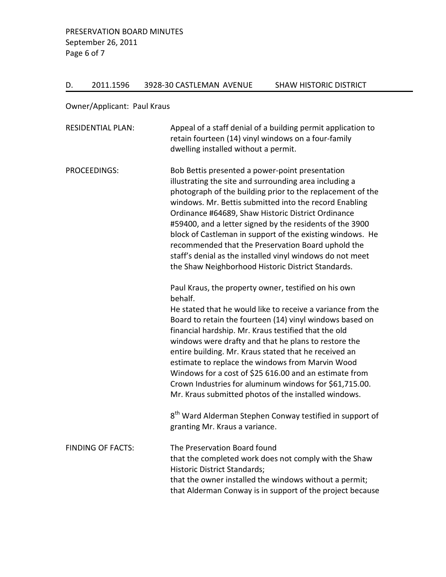# D. 2011.1596 3928-30 CASTLEMAN AVENUE SHAW HISTORIC DISTRICT

Owner/Applicant: Paul Kraus

| <b>RESIDENTIAL PLAN:</b> | Appeal of a staff denial of a building permit application to<br>retain fourteen (14) vinyl windows on a four-family<br>dwelling installed without a permit.                                                                                                                                                                                                                                                                                                                                                                                                                                         |
|--------------------------|-----------------------------------------------------------------------------------------------------------------------------------------------------------------------------------------------------------------------------------------------------------------------------------------------------------------------------------------------------------------------------------------------------------------------------------------------------------------------------------------------------------------------------------------------------------------------------------------------------|
| <b>PROCEEDINGS:</b>      | Bob Bettis presented a power-point presentation<br>illustrating the site and surrounding area including a<br>photograph of the building prior to the replacement of the<br>windows. Mr. Bettis submitted into the record Enabling<br>Ordinance #64689, Shaw Historic District Ordinance<br>#59400, and a letter signed by the residents of the 3900<br>block of Castleman in support of the existing windows. He<br>recommended that the Preservation Board uphold the<br>staff's denial as the installed vinyl windows do not meet<br>the Shaw Neighborhood Historic District Standards.           |
|                          | Paul Kraus, the property owner, testified on his own<br>behalf.<br>He stated that he would like to receive a variance from the<br>Board to retain the fourteen (14) vinyl windows based on<br>financial hardship. Mr. Kraus testified that the old<br>windows were drafty and that he plans to restore the<br>entire building. Mr. Kraus stated that he received an<br>estimate to replace the windows from Marvin Wood<br>Windows for a cost of \$25 616.00 and an estimate from<br>Crown Industries for aluminum windows for \$61,715.00.<br>Mr. Kraus submitted photos of the installed windows. |
|                          | 8 <sup>th</sup> Ward Alderman Stephen Conway testified in support of<br>granting Mr. Kraus a variance.                                                                                                                                                                                                                                                                                                                                                                                                                                                                                              |
| <b>FINDING OF FACTS:</b> | The Preservation Board found<br>that the completed work does not comply with the Shaw<br><b>Historic District Standards;</b><br>that the owner installed the windows without a permit;<br>that Alderman Conway is in support of the project because                                                                                                                                                                                                                                                                                                                                                 |